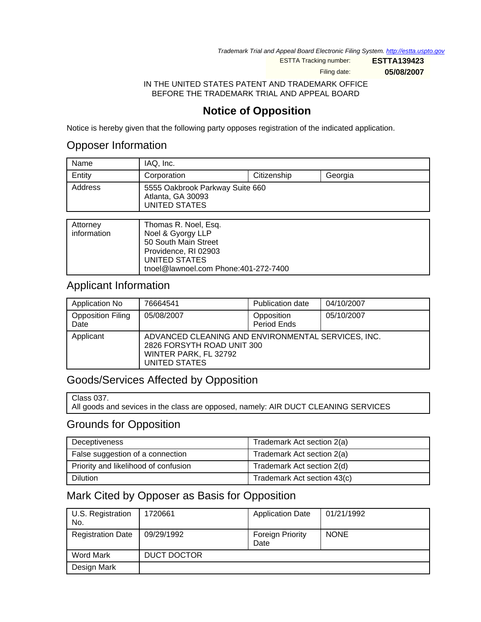Trademark Trial and Appeal Board Electronic Filing System. <http://estta.uspto.gov>

ESTTA Tracking number: **ESTTA139423**

Filing date: **05/08/2007**

IN THE UNITED STATES PATENT AND TRADEMARK OFFICE BEFORE THE TRADEMARK TRIAL AND APPEAL BOARD

# **Notice of Opposition**

Notice is hereby given that the following party opposes registration of the indicated application.

## Opposer Information

| Name    | IAQ, Inc.                                                             |             |         |
|---------|-----------------------------------------------------------------------|-------------|---------|
| Entity  | Corporation                                                           | Citizenship | Georgia |
| Address | 5555 Oakbrook Parkway Suite 660<br>Atlanta, GA 30093<br>UNITED STATES |             |         |

| Attorney<br>information | Thomas R. Noel, Esq.<br>Noel & Gyorgy LLP<br>50 South Main Street<br>Providence, RI 02903<br>UNITED STATES<br>thoel@lawnoel.com Phone:401-272-7400 |
|-------------------------|----------------------------------------------------------------------------------------------------------------------------------------------------|

## Applicant Information

| Application No                   | 76664541                                                                                                                   | <b>Publication date</b>   | 04/10/2007 |
|----------------------------------|----------------------------------------------------------------------------------------------------------------------------|---------------------------|------------|
| <b>Opposition Filing</b><br>Date | 05/08/2007                                                                                                                 | Opposition<br>Period Ends | 05/10/2007 |
| Applicant                        | ADVANCED CLEANING AND ENVIRONMENTAL SERVICES, INC.<br>2826 FORSYTH ROAD UNIT 300<br>WINTER PARK, FL 32792<br>UNITED STATES |                           |            |

## Goods/Services Affected by Opposition

#### Class 037.

All goods and sevices in the class are opposed, namely: AIR DUCT CLEANING SERVICES

## Grounds for Opposition

| Deceptiveness                        | Trademark Act section 2(a)  |
|--------------------------------------|-----------------------------|
| False suggestion of a connection     | Trademark Act section 2(a)  |
| Priority and likelihood of confusion | Trademark Act section 2(d)  |
| <b>Dilution</b>                      | Trademark Act section 43(c) |

## Mark Cited by Opposer as Basis for Opposition

| U.S. Registration<br>No. | 1720661            | <b>Application Date</b>         | 01/21/1992  |
|--------------------------|--------------------|---------------------------------|-------------|
| <b>Registration Date</b> | 09/29/1992         | <b>Foreign Priority</b><br>Date | <b>NONE</b> |
| Word Mark                | <b>DUCT DOCTOR</b> |                                 |             |
| Design Mark              |                    |                                 |             |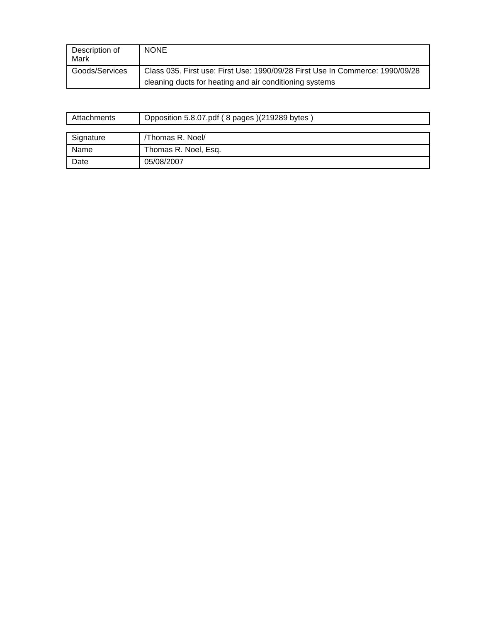| Description of<br>Mark | <b>NONE</b>                                                                                                                              |
|------------------------|------------------------------------------------------------------------------------------------------------------------------------------|
| Goods/Services         | Class 035. First use: First Use: 1990/09/28 First Use In Commerce: 1990/09/28<br>cleaning ducts for heating and air conditioning systems |
|                        |                                                                                                                                          |

| Attachments | Opposition 5.8.07.pdf (8 pages) (219289 bytes) |
|-------------|------------------------------------------------|
|             |                                                |
| Signature   | /Thomas R. Noel/                               |
| Name        | Thomas R. Noel, Esq.                           |
| Date        | 05/08/2007                                     |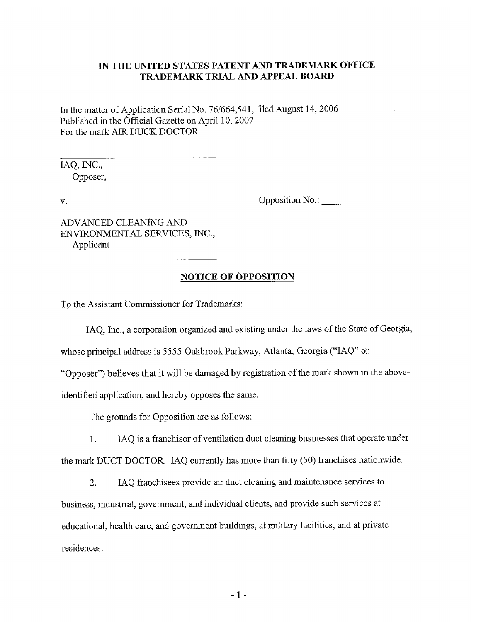#### IN THE UNITED STATES PATENT AND TRADEMARK OFFICE TRADEMARK TRIAL AND APPEAL BOARD

In the matter of Application Serial No. 76/664,541, filed August 14, 2006 Published in the Official Gazette on April 10, 2007 For the mark AIR DUCK DOCTOR

IAQ, INC., Opposer,

 $V<sub>r</sub>$ 

Opposition No.:

ADVANCED CLEANING AND ENVIRONMENTAL SERVICES, INC., Applicant

#### **NOTICE OF OPPOSITION**

To the Assistant Commissioner for Trademarks:

IAQ, Inc., a corporation organized and existing under the laws of the State of Georgia,

whose principal address is 5555 Oakbrook Parkway, Atlanta, Georgia ("IAQ" or

"Opposer") believes that it will be damaged by registration of the mark shown in the above-

identified application, and hereby opposes the same.

The grounds for Opposition are as follows:

IAQ is a franchisor of ventilation duct cleaning businesses that operate under  $1.$ the mark DUCT DOCTOR. IAQ currently has more than fifty (50) franchises nationwide.

 $2.$ IAO franchisees provide air duct cleaning and maintenance services to business, industrial, government, and individual clients, and provide such services at educational, health care, and government buildings, at military facilities, and at private residences.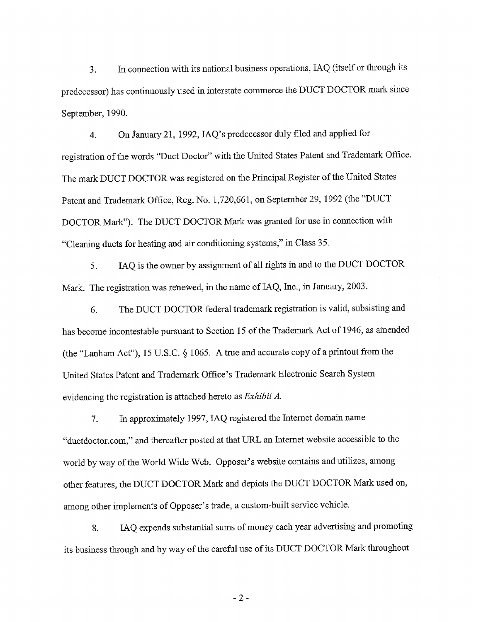In connection with its national business operations, IAQ (itself or through its  $3.$ predecessor) has continuously used in interstate commerce the DUCT DOCTOR mark since September, 1990.

On January 21, 1992, IAQ's predecessor duly filed and applied for  $\overline{4}$ . registration of the words "Duct Doctor" with the United States Patent and Trademark Office. The mark DUCT DOCTOR was registered on the Principal Register of the United States Patent and Trademark Office, Reg. No. 1,720,661, on September 29, 1992 (the "DUCT DOCTOR Mark"). The DUCT DOCTOR Mark was granted for use in connection with "Cleaning ducts for heating and air conditioning systems," in Class 35.

IAQ is the owner by assignment of all rights in and to the DUCT DOCTOR  $5<sub>1</sub>$ Mark. The registration was renewed, in the name of IAQ, Inc., in January, 2003.

The DUCT DOCTOR federal trademark registration is valid, subsisting and 6. has become incontestable pursuant to Section 15 of the Trademark Act of 1946, as amended (the "Lanham Act"), 15 U.S.C. § 1065. A true and accurate copy of a printout from the United States Patent and Trademark Office's Trademark Electronic Search System evidencing the registration is attached hereto as  $Exhibit A$ .

In approximately 1997, IAQ registered the Internet domain name 7. "ductdoctor.com," and thereafter posted at that URL an Internet website accessible to the world by way of the World Wide Web. Opposer's website contains and utilizes, among other features, the DUCT DOCTOR Mark and depicts the DUCT DOCTOR Mark used on, among other implements of Opposer's trade, a custom-built service vehicle.

IAQ expends substantial sums of money each year advertising and promoting 8. its business through and by way of the careful use of its DUCT DOCTOR Mark throughout

 $-2-$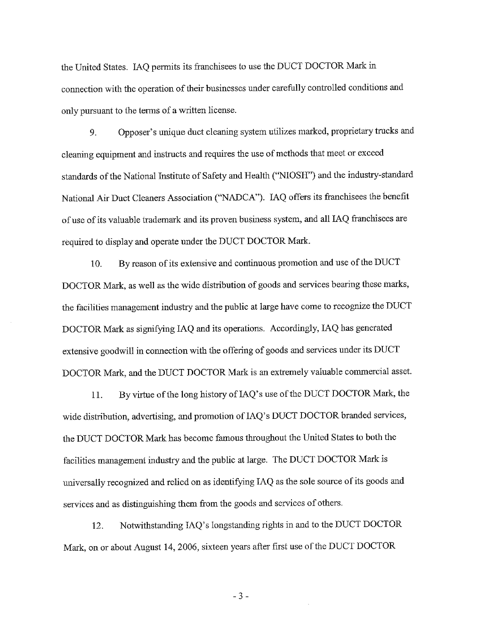the United States. IAQ permits its franchisees to use the DUCT DOCTOR Mark in connection with the operation of their businesses under carefully controlled conditions and only pursuant to the terms of a written license.

Opposer's unique duct cleaning system utilizes marked, proprietary trucks and  $9<sub>1</sub>$ cleaning equipment and instructs and requires the use of methods that meet or exceed standards of the National Institute of Safety and Health ("NIOSH") and the industry-standard National Air Duct Cleaners Association ("NADCA"). IAQ offers its franchisees the benefit of use of its valuable trademark and its proven business system, and all IAQ franchisees are required to display and operate under the DUCT DOCTOR Mark.

By reason of its extensive and continuous promotion and use of the DUCT  $10.$ DOCTOR Mark, as well as the wide distribution of goods and services bearing these marks, the facilities management industry and the public at large have come to recognize the DUCT DOCTOR Mark as signifying IAQ and its operations. Accordingly, IAQ has generated extensive goodwill in connection with the offering of goods and services under its DUCT DOCTOR Mark, and the DUCT DOCTOR Mark is an extremely valuable commercial asset.

By virtue of the long history of IAQ's use of the DUCT DOCTOR Mark, the  $11.$ wide distribution, advertising, and promotion of IAQ's DUCT DOCTOR branded services, the DUCT DOCTOR Mark has become famous throughout the United States to both the facilities management industry and the public at large. The DUCT DOCTOR Mark is universally recognized and relied on as identifying IAQ as the sole source of its goods and services and as distinguishing them from the goods and services of others.

Notwithstanding IAQ's longstanding rights in and to the DUCT DOCTOR 12. Mark, on or about August 14, 2006, sixteen years after first use of the DUCT DOCTOR

 $-3-$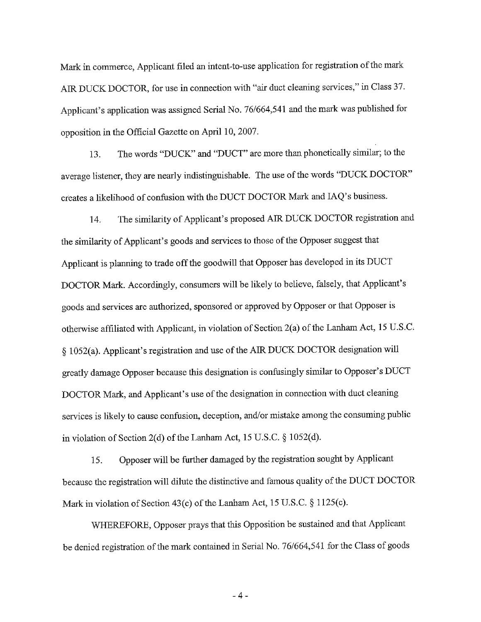Mark in commerce, Applicant filed an intent-to-use application for registration of the mark AIR DUCK DOCTOR, for use in connection with "air duct cleaning services," in Class 37. Applicant's application was assigned Serial No. 76/664,541 and the mark was published for opposition in the Official Gazette on April 10, 2007.

The words "DUCK" and "DUCT" are more than phonetically similar; to the 13. average listener, they are nearly indistinguishable. The use of the words "DUCK DOCTOR" creates a likelihood of confusion with the DUCT DOCTOR Mark and IAQ's business.

The similarity of Applicant's proposed AIR DUCK DOCTOR registration and  $14.$ the similarity of Applicant's goods and services to those of the Opposer suggest that Applicant is planning to trade off the goodwill that Opposer has developed in its DUCT DOCTOR Mark. Accordingly, consumers will be likely to believe, falsely, that Applicant's goods and services are authorized, sponsored or approved by Opposer or that Opposer is otherwise affiliated with Applicant, in violation of Section 2(a) of the Lanham Act, 15 U.S.C. § 1052(a). Applicant's registration and use of the AIR DUCK DOCTOR designation will greatly damage Opposer because this designation is confusingly similar to Opposer's DUCT DOCTOR Mark, and Applicant's use of the designation in connection with duct cleaning services is likely to cause confusion, deception, and/or mistake among the consuming public in violation of Section 2(d) of the Lanham Act, 15 U.S.C. § 1052(d).

Opposer will be further damaged by the registration sought by Applicant 15. because the registration will dilute the distinctive and famous quality of the DUCT DOCTOR Mark in violation of Section 43(c) of the Lanham Act, 15 U.S.C.  $\S 1125(c)$ .

WHEREFORE, Opposer prays that this Opposition be sustained and that Applicant be denied registration of the mark contained in Serial No. 76/664,541 for the Class of goods

 $-4-$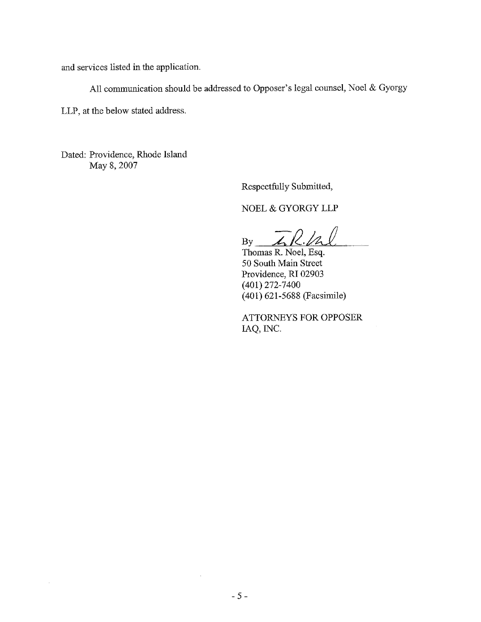and services listed in the application.

All communication should be addressed to Opposer's legal counsel, Noel & Gyorgy

LLP, at the below stated address.

Dated: Providence, Rhode Island May 8, 2007

Respectfully Submitted,

NOEL & GYORGY LLP

<u>|L.]</u> p By  $\mathcal{L}_{\mathbf{r}}$ 

Thomas R. Noel, Esq. 50 South Main Street Providence, RI 02903  $(401)$  272-7400 (401) 621-5688 (Facsimile)

ATTORNEYS FOR OPPOSER IAQ, INC.

 $\bar{z}$ 

 $\hat{\mathcal{A}}$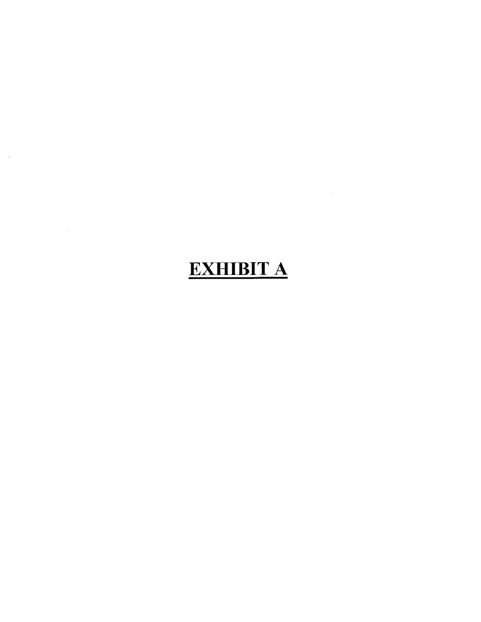# **EXHIBIT A**

 $\sim$ 

 $\mathcal{L}^{\mathcal{L}}(\mathcal{L}^{\mathcal{L}})$  and  $\mathcal{L}^{\mathcal{L}}(\mathcal{L}^{\mathcal{L}})$  . In the contribution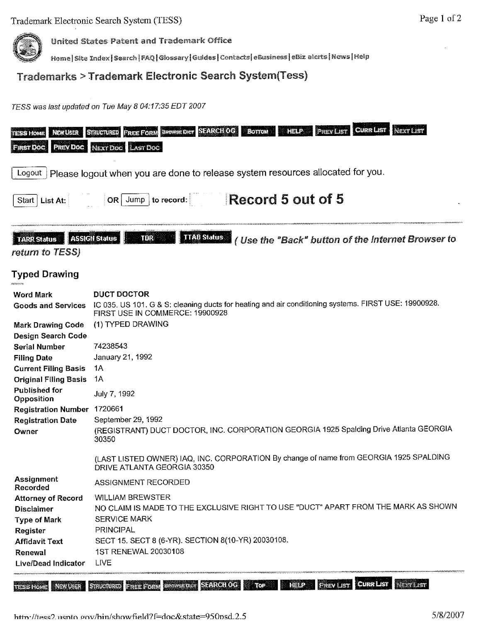

**United States Patent and Trademark Office** 

Home | Site Index | Search | FAQ | Glossary | Guides | Contacts | eBusiness | eBiz alerts | News | Help

## Trademarks > Trademark Electronic Search System(Tess)

TESS was last updated on Tue May 8 04:17:35 EDT 2007



**ASSIGN Status** TDR **TTAB Status** (Use the "Back" button of the Internet Browser to **TARR Status** return to TESS)

### **Typed Drawing**

| <b>Word Mark</b>                   | <b>DUCT DOCTOR</b>                                                                                                                      |
|------------------------------------|-----------------------------------------------------------------------------------------------------------------------------------------|
| Goods and Services                 | IC 035. US 101. G & S: cleaning ducts for heating and air conditioning systems. FIRST USE: 19900928.<br>FIRST USE IN COMMERCE: 19900928 |
| <b>Mark Drawing Code</b>           | (1) TYPED DRAWING                                                                                                                       |
| Design Search Code                 |                                                                                                                                         |
| <b>Serial Number</b>               | 74238543                                                                                                                                |
| <b>Filing Date</b>                 | January 21, 1992                                                                                                                        |
| <b>Current Filing Basis</b>        | 1A                                                                                                                                      |
| <b>Original Filing Basis</b>       | 1Α                                                                                                                                      |
| <b>Published for</b><br>Opposition | July 7, 1992                                                                                                                            |
| <b>Registration Number</b>         | 1720661                                                                                                                                 |
| <b>Registration Date</b>           | September 29, 1992                                                                                                                      |
| Owner                              | (REGISTRANT) DUCT DOCTOR, INC. CORPORATION GEORGIA 1925 Spalding Drive Atlanta GEORGIA<br>30350                                         |
|                                    | (LAST LISTED OWNER) IAQ, INC. CORPORATION By change of name from GEORGIA 1925 SPALDING<br>DRIVE ATLANTA GEORGIA 30350                   |
| <b>Assignment</b><br>Recorded      | ASSIGNMENT RECORDED                                                                                                                     |
| <b>Attorney of Record</b>          | <b>WILLIAM BREWSTER</b>                                                                                                                 |
| <b>Disclaimer</b>                  | NO CLAIM IS MADE TO THE EXCLUSIVE RIGHT TO USE "DUCT" APART FROM THE MARK AS SHOWN                                                      |
| <b>Type of Mark</b>                | <b>SERVICE MARK</b>                                                                                                                     |
| Register                           | PRINCIPAL                                                                                                                               |
| <b>Affidavit Text</b>              | SECT 15. SECT 8 (6-YR). SECTION 8(10-YR) 20030108.                                                                                      |
| Renewal                            | 1ST RENEWAL 20030108                                                                                                                    |
| Live/Dead Indicator                | LIVE                                                                                                                                    |

NASION REVUEST ENGINEERI ETABLICHE ET TOT

nara